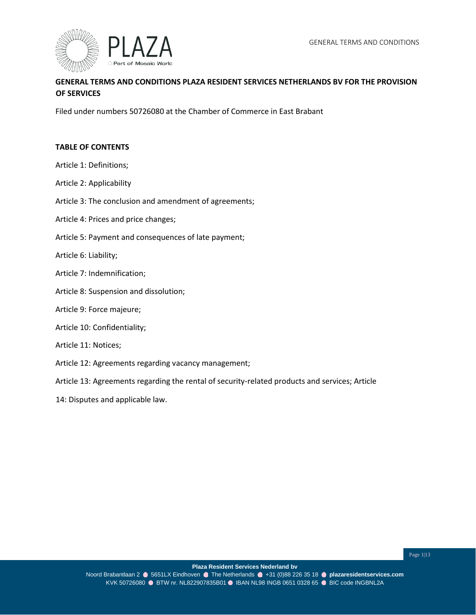

# **GENERAL TERMS AND CONDITIONS PLAZA RESIDENT SERVICES NETHERLANDS BV FOR THE PROVISION OF SERVICES**

Filed under numbers 50726080 at the Chamber of Commerce in East Brabant

#### **TABLE OF CONTENTS**

- Article 1: Definitions;
- Article 2: Applicability
- Article 3: The conclusion and amendment of agreements;
- Article 4: Prices and price changes;
- Article 5: Payment and consequences of late payment;
- Article 6: Liability;
- Article 7: Indemnification;
- Article 8: Suspension and dissolution;

#### Article 9: Force majeure;

Article 10: Confidentiality;

#### Article 11: Notices;

- Article 12: Agreements regarding vacancy management;
- Article 13: Agreements regarding the rental of security-related products and services; Article
- 14: Disputes and applicable law.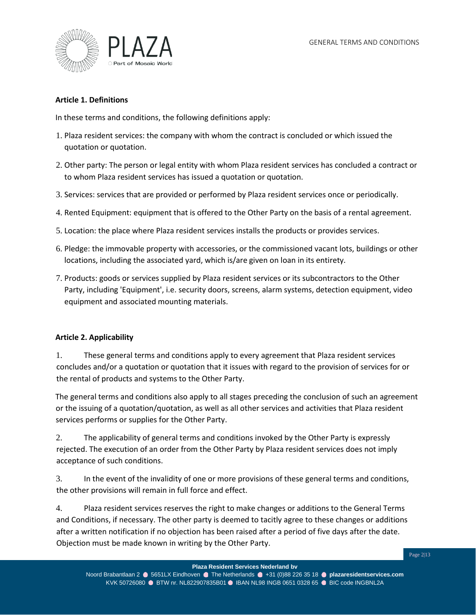

### **Article 1. Definitions**

In these terms and conditions, the following definitions apply:

- 1. Plaza resident services: the company with whom the contract is concluded or which issued the quotation or quotation.
- 2. Other party: The person or legal entity with whom Plaza resident services has concluded a contract or to whom Plaza resident services has issued a quotation or quotation.
- 3. Services: services that are provided or performed by Plaza resident services once or periodically.
- 4. Rented Equipment: equipment that is offered to the Other Party on the basis of a rental agreement.
- 5. Location: the place where Plaza resident services installs the products or provides services.
- 6. Pledge: the immovable property with accessories, or the commissioned vacant lots, buildings or other locations, including the associated yard, which is/are given on loan in its entirety.
- 7. Products: goods or services supplied by Plaza resident services or its subcontractors to the Other Party, including 'Equipment', i.e. security doors, screens, alarm systems, detection equipment, video equipment and associated mounting materials.

#### **Article 2. Applicability**

1. These general terms and conditions apply to every agreement that Plaza resident services concludes and/or a quotation or quotation that it issues with regard to the provision of services for or the rental of products and systems to the Other Party.

The general terms and conditions also apply to all stages preceding the conclusion of such an agreement or the issuing of a quotation/quotation, as well as all other services and activities that Plaza resident services performs or supplies for the Other Party.

2. The applicability of general terms and conditions invoked by the Other Party is expressly rejected. The execution of an order from the Other Party by Plaza resident services does not imply acceptance of such conditions.

3. In the event of the invalidity of one or more provisions of these general terms and conditions, the other provisions will remain in full force and effect.

4. Plaza resident services reserves the right to make changes or additions to the General Terms and Conditions, if necessary. The other party is deemed to tacitly agree to these changes or additions after a written notification if no objection has been raised after a period of five days after the date. Objection must be made known in writing by the Other Party.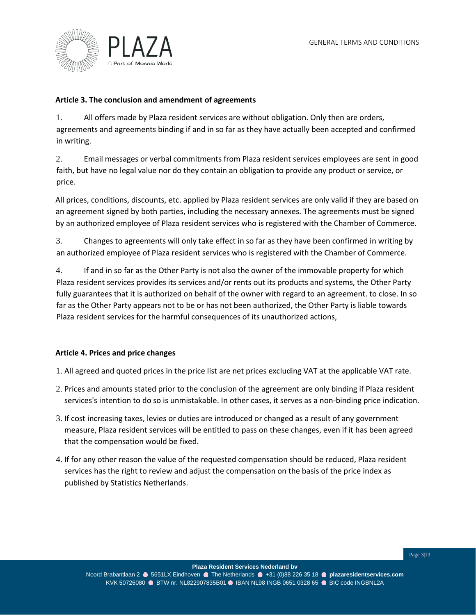

#### **Article 3. The conclusion and amendment of agreements**

1. All offers made by Plaza resident services are without obligation. Only then are orders, agreements and agreements binding if and in so far as they have actually been accepted and confirmed in writing.

2. Email messages or verbal commitments from Plaza resident services employees are sent in good faith, but have no legal value nor do they contain an obligation to provide any product or service, or price.

All prices, conditions, discounts, etc. applied by Plaza resident services are only valid if they are based on an agreement signed by both parties, including the necessary annexes. The agreements must be signed by an authorized employee of Plaza resident services who is registered with the Chamber of Commerce.

3. Changes to agreements will only take effect in so far as they have been confirmed in writing by an authorized employee of Plaza resident services who is registered with the Chamber of Commerce.

4. If and in so far as the Other Party is not also the owner of the immovable property for which Plaza resident services provides its services and/or rents out its products and systems, the Other Party fully guarantees that it is authorized on behalf of the owner with regard to an agreement. to close. In so far as the Other Party appears not to be or has not been authorized, the Other Party is liable towards Plaza resident services for the harmful consequences of its unauthorized actions,

# **Article 4. Prices and price changes**

1. All agreed and quoted prices in the price list are net prices excluding VAT at the applicable VAT rate.

- 2. Prices and amounts stated prior to the conclusion of the agreement are only binding if Plaza resident services's intention to do so is unmistakable. In other cases, it serves as a non-binding price indication.
- 3. If cost increasing taxes, levies or duties are introduced or changed as a result of any government measure, Plaza resident services will be entitled to pass on these changes, even if it has been agreed that the compensation would be fixed.
- 4. If for any other reason the value of the requested compensation should be reduced, Plaza resident services has the right to review and adjust the compensation on the basis of the price index as published by Statistics Netherlands.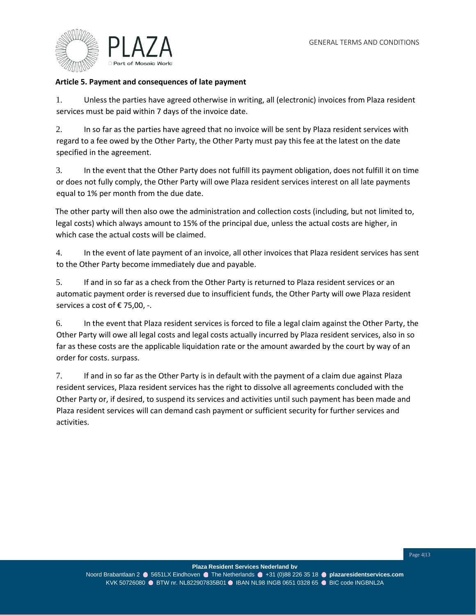

### **Article 5. Payment and consequences of late payment**

1. Unless the parties have agreed otherwise in writing, all (electronic) invoices from Plaza resident services must be paid within 7 days of the invoice date.

2. In so far as the parties have agreed that no invoice will be sent by Plaza resident services with regard to a fee owed by the Other Party, the Other Party must pay this fee at the latest on the date specified in the agreement.

3. In the event that the Other Party does not fulfill its payment obligation, does not fulfill it on time or does not fully comply, the Other Party will owe Plaza resident services interest on all late payments equal to 1% per month from the due date.

The other party will then also owe the administration and collection costs (including, but not limited to, legal costs) which always amount to 15% of the principal due, unless the actual costs are higher, in which case the actual costs will be claimed.

4. In the event of late payment of an invoice, all other invoices that Plaza resident services has sent to the Other Party become immediately due and payable.

5. If and in so far as a check from the Other Party is returned to Plaza resident services or an automatic payment order is reversed due to insufficient funds, the Other Party will owe Plaza resident services a cost of €75,00, -.

6. In the event that Plaza resident services is forced to file a legal claim against the Other Party, the Other Party will owe all legal costs and legal costs actually incurred by Plaza resident services, also in so far as these costs are the applicable liquidation rate or the amount awarded by the court by way of an order for costs. surpass.

7. If and in so far as the Other Party is in default with the payment of a claim due against Plaza resident services, Plaza resident services has the right to dissolve all agreements concluded with the Other Party or, if desired, to suspend its services and activities until such payment has been made and Plaza resident services will can demand cash payment or sufficient security for further services and activities.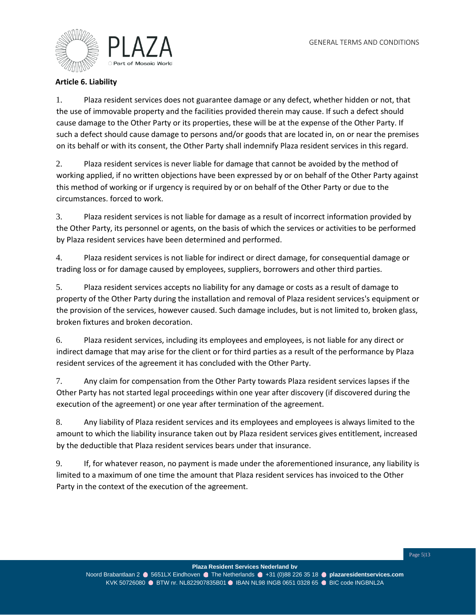

# **Article 6. Liability**

1. Plaza resident services does not guarantee damage or any defect, whether hidden or not, that the use of immovable property and the facilities provided therein may cause. If such a defect should cause damage to the Other Party or its properties, these will be at the expense of the Other Party. If such a defect should cause damage to persons and/or goods that are located in, on or near the premises on its behalf or with its consent, the Other Party shall indemnify Plaza resident services in this regard.

2. Plaza resident services is never liable for damage that cannot be avoided by the method of working applied, if no written objections have been expressed by or on behalf of the Other Party against this method of working or if urgency is required by or on behalf of the Other Party or due to the circumstances. forced to work.

3. Plaza resident services is not liable for damage as a result of incorrect information provided by the Other Party, its personnel or agents, on the basis of which the services or activities to be performed by Plaza resident services have been determined and performed.

4. Plaza resident services is not liable for indirect or direct damage, for consequential damage or trading loss or for damage caused by employees, suppliers, borrowers and other third parties.

5. Plaza resident services accepts no liability for any damage or costs as a result of damage to property of the Other Party during the installation and removal of Plaza resident services's equipment or the provision of the services, however caused. Such damage includes, but is not limited to, broken glass, broken fixtures and broken decoration.

6. Plaza resident services, including its employees and employees, is not liable for any direct or indirect damage that may arise for the client or for third parties as a result of the performance by Plaza resident services of the agreement it has concluded with the Other Party.

7. Any claim for compensation from the Other Party towards Plaza resident services lapses if the Other Party has not started legal proceedings within one year after discovery (if discovered during the execution of the agreement) or one year after termination of the agreement.

8. Any liability of Plaza resident services and its employees and employees is always limited to the amount to which the liability insurance taken out by Plaza resident services gives entitlement, increased by the deductible that Plaza resident services bears under that insurance.

9. If, for whatever reason, no payment is made under the aforementioned insurance, any liability is limited to a maximum of one time the amount that Plaza resident services has invoiced to the Other Party in the context of the execution of the agreement.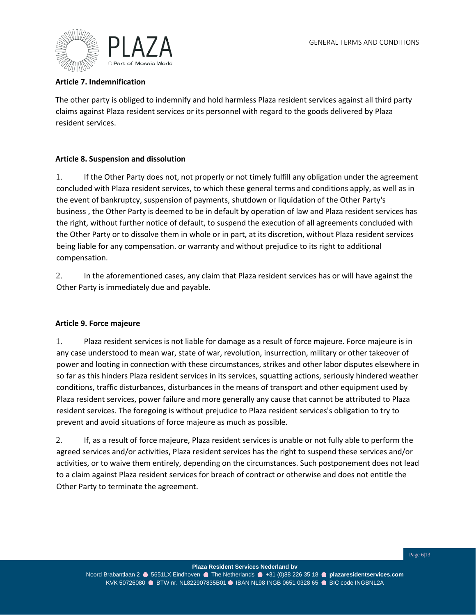

# **Article 7. Indemnification**

The other party is obliged to indemnify and hold harmless Plaza resident services against all third party claims against Plaza resident services or its personnel with regard to the goods delivered by Plaza resident services.

### **Article 8. Suspension and dissolution**

1. If the Other Party does not, not properly or not timely fulfill any obligation under the agreement concluded with Plaza resident services, to which these general terms and conditions apply, as well as in the event of bankruptcy, suspension of payments, shutdown or liquidation of the Other Party's business , the Other Party is deemed to be in default by operation of law and Plaza resident services has the right, without further notice of default, to suspend the execution of all agreements concluded with the Other Party or to dissolve them in whole or in part, at its discretion, without Plaza resident services being liable for any compensation. or warranty and without prejudice to its right to additional compensation.

2. In the aforementioned cases, any claim that Plaza resident services has or will have against the Other Party is immediately due and payable.

#### **Article 9. Force majeure**

1. Plaza resident services is not liable for damage as a result of force majeure. Force majeure is in any case understood to mean war, state of war, revolution, insurrection, military or other takeover of power and looting in connection with these circumstances, strikes and other labor disputes elsewhere in so far as this hinders Plaza resident services in its services, squatting actions, seriously hindered weather conditions, traffic disturbances, disturbances in the means of transport and other equipment used by Plaza resident services, power failure and more generally any cause that cannot be attributed to Plaza resident services. The foregoing is without prejudice to Plaza resident services's obligation to try to prevent and avoid situations of force majeure as much as possible.

2. If, as a result of force majeure, Plaza resident services is unable or not fully able to perform the agreed services and/or activities, Plaza resident services has the right to suspend these services and/or activities, or to waive them entirely, depending on the circumstances. Such postponement does not lead to a claim against Plaza resident services for breach of contract or otherwise and does not entitle the Other Party to terminate the agreement.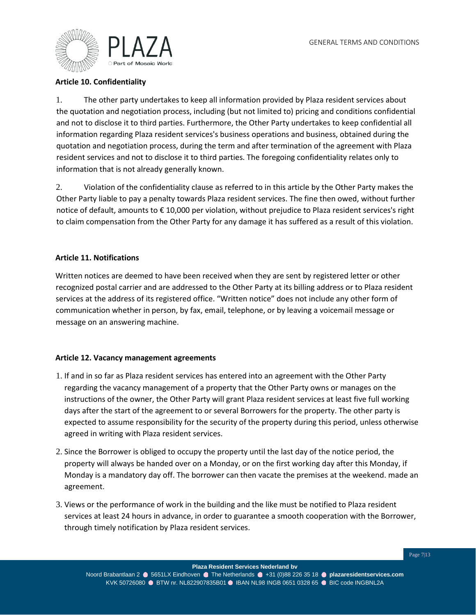

# **Article 10. Confidentiality**

1. The other party undertakes to keep all information provided by Plaza resident services about the quotation and negotiation process, including (but not limited to) pricing and conditions confidential and not to disclose it to third parties. Furthermore, the Other Party undertakes to keep confidential all information regarding Plaza resident services's business operations and business, obtained during the quotation and negotiation process, during the term and after termination of the agreement with Plaza resident services and not to disclose it to third parties. The foregoing confidentiality relates only to information that is not already generally known.

2. Violation of the confidentiality clause as referred to in this article by the Other Party makes the Other Party liable to pay a penalty towards Plaza resident services. The fine then owed, without further notice of default, amounts to € 10,000 per violation, without prejudice to Plaza resident services's right to claim compensation from the Other Party for any damage it has suffered as a result of this violation.

### **Article 11. Notifications**

Written notices are deemed to have been received when they are sent by registered letter or other recognized postal carrier and are addressed to the Other Party at its billing address or to Plaza resident services at the address of its registered office. "Written notice" does not include any other form of communication whether in person, by fax, email, telephone, or by leaving a voicemail message or message on an answering machine.

#### **Article 12. Vacancy management agreements**

- 1. If and in so far as Plaza resident services has entered into an agreement with the Other Party regarding the vacancy management of a property that the Other Party owns or manages on the instructions of the owner, the Other Party will grant Plaza resident services at least five full working days after the start of the agreement to or several Borrowers for the property. The other party is expected to assume responsibility for the security of the property during this period, unless otherwise agreed in writing with Plaza resident services.
- 2. Since the Borrower is obliged to occupy the property until the last day of the notice period, the property will always be handed over on a Monday, or on the first working day after this Monday, if Monday is a mandatory day off. The borrower can then vacate the premises at the weekend. made an agreement.
- 3. Views or the performance of work in the building and the like must be notified to Plaza resident services at least 24 hours in advance, in order to guarantee a smooth cooperation with the Borrower, through timely notification by Plaza resident services.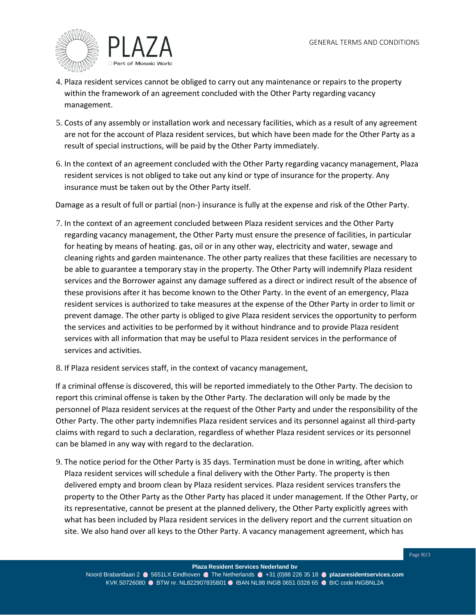

- 4. Plaza resident services cannot be obliged to carry out any maintenance or repairs to the property within the framework of an agreement concluded with the Other Party regarding vacancy management.
- 5. Costs of any assembly or installation work and necessary facilities, which as a result of any agreement are not for the account of Plaza resident services, but which have been made for the Other Party as a result of special instructions, will be paid by the Other Party immediately.
- 6. In the context of an agreement concluded with the Other Party regarding vacancy management, Plaza resident services is not obliged to take out any kind or type of insurance for the property. Any insurance must be taken out by the Other Party itself.

Damage as a result of full or partial (non-) insurance is fully at the expense and risk of the Other Party.

- 7. In the context of an agreement concluded between Plaza resident services and the Other Party regarding vacancy management, the Other Party must ensure the presence of facilities, in particular for heating by means of heating. gas, oil or in any other way, electricity and water, sewage and cleaning rights and garden maintenance. The other party realizes that these facilities are necessary to be able to guarantee a temporary stay in the property. The Other Party will indemnify Plaza resident services and the Borrower against any damage suffered as a direct or indirect result of the absence of these provisions after it has become known to the Other Party. In the event of an emergency, Plaza resident services is authorized to take measures at the expense of the Other Party in order to limit or prevent damage. The other party is obliged to give Plaza resident services the opportunity to perform the services and activities to be performed by it without hindrance and to provide Plaza resident services with all information that may be useful to Plaza resident services in the performance of services and activities.
- 8. If Plaza resident services staff, in the context of vacancy management,

If a criminal offense is discovered, this will be reported immediately to the Other Party. The decision to report this criminal offense is taken by the Other Party. The declaration will only be made by the personnel of Plaza resident services at the request of the Other Party and under the responsibility of the Other Party. The other party indemnifies Plaza resident services and its personnel against all third-party claims with regard to such a declaration, regardless of whether Plaza resident services or its personnel can be blamed in any way with regard to the declaration.

9. The notice period for the Other Party is 35 days. Termination must be done in writing, after which Plaza resident services will schedule a final delivery with the Other Party. The property is then delivered empty and broom clean by Plaza resident services. Plaza resident services transfers the property to the Other Party as the Other Party has placed it under management. If the Other Party, or its representative, cannot be present at the planned delivery, the Other Party explicitly agrees with what has been included by Plaza resident services in the delivery report and the current situation on site. We also hand over all keys to the Other Party. A vacancy management agreement, which has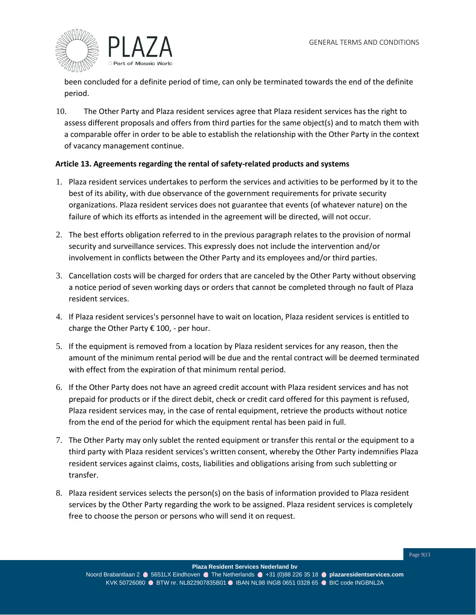

been concluded for a definite period of time, can only be terminated towards the end of the definite period.

10. The Other Party and Plaza resident services agree that Plaza resident services has the right to assess different proposals and offers from third parties for the same object(s) and to match them with a comparable offer in order to be able to establish the relationship with the Other Party in the context of vacancy management continue.

### **Article 13. Agreements regarding the rental of safety-related products and systems**

- 1. Plaza resident services undertakes to perform the services and activities to be performed by it to the best of its ability, with due observance of the government requirements for private security organizations. Plaza resident services does not guarantee that events (of whatever nature) on the failure of which its efforts as intended in the agreement will be directed, will not occur.
- 2. The best efforts obligation referred to in the previous paragraph relates to the provision of normal security and surveillance services. This expressly does not include the intervention and/or involvement in conflicts between the Other Party and its employees and/or third parties.
- 3. Cancellation costs will be charged for orders that are canceled by the Other Party without observing a notice period of seven working days or orders that cannot be completed through no fault of Plaza resident services.
- 4. If Plaza resident services's personnel have to wait on location, Plaza resident services is entitled to charge the Other Party  $\epsilon$  100, - per hour.
- 5. If the equipment is removed from a location by Plaza resident services for any reason, then the amount of the minimum rental period will be due and the rental contract will be deemed terminated with effect from the expiration of that minimum rental period.
- 6. If the Other Party does not have an agreed credit account with Plaza resident services and has not prepaid for products or if the direct debit, check or credit card offered for this payment is refused, Plaza resident services may, in the case of rental equipment, retrieve the products without notice from the end of the period for which the equipment rental has been paid in full.
- 7. The Other Party may only sublet the rented equipment or transfer this rental or the equipment to a third party with Plaza resident services's written consent, whereby the Other Party indemnifies Plaza resident services against claims, costs, liabilities and obligations arising from such subletting or transfer.
- 8. Plaza resident services selects the person(s) on the basis of information provided to Plaza resident services by the Other Party regarding the work to be assigned. Plaza resident services is completely free to choose the person or persons who will send it on request.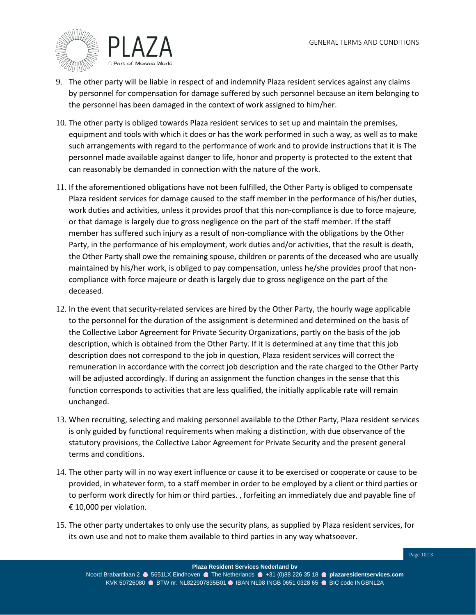

- 9. The other party will be liable in respect of and indemnify Plaza resident services against any claims by personnel for compensation for damage suffered by such personnel because an item belonging to the personnel has been damaged in the context of work assigned to him/her.
- 10. The other party is obliged towards Plaza resident services to set up and maintain the premises, equipment and tools with which it does or has the work performed in such a way, as well as to make such arrangements with regard to the performance of work and to provide instructions that it is The personnel made available against danger to life, honor and property is protected to the extent that can reasonably be demanded in connection with the nature of the work.
- 11. If the aforementioned obligations have not been fulfilled, the Other Party is obliged to compensate Plaza resident services for damage caused to the staff member in the performance of his/her duties, work duties and activities, unless it provides proof that this non-compliance is due to force majeure, or that damage is largely due to gross negligence on the part of the staff member. If the staff member has suffered such injury as a result of non-compliance with the obligations by the Other Party, in the performance of his employment, work duties and/or activities, that the result is death, the Other Party shall owe the remaining spouse, children or parents of the deceased who are usually maintained by his/her work, is obliged to pay compensation, unless he/she provides proof that noncompliance with force majeure or death is largely due to gross negligence on the part of the deceased.
- 12. In the event that security-related services are hired by the Other Party, the hourly wage applicable to the personnel for the duration of the assignment is determined and determined on the basis of the Collective Labor Agreement for Private Security Organizations, partly on the basis of the job description, which is obtained from the Other Party. If it is determined at any time that this job description does not correspond to the job in question, Plaza resident services will correct the remuneration in accordance with the correct job description and the rate charged to the Other Party will be adjusted accordingly. If during an assignment the function changes in the sense that this function corresponds to activities that are less qualified, the initially applicable rate will remain unchanged.
- 13. When recruiting, selecting and making personnel available to the Other Party, Plaza resident services is only guided by functional requirements when making a distinction, with due observance of the statutory provisions, the Collective Labor Agreement for Private Security and the present general terms and conditions.
- 14. The other party will in no way exert influence or cause it to be exercised or cooperate or cause to be provided, in whatever form, to a staff member in order to be employed by a client or third parties or to perform work directly for him or third parties. , forfeiting an immediately due and payable fine of € 10,000 per violation.
- 15. The other party undertakes to only use the security plans, as supplied by Plaza resident services, for its own use and not to make them available to third parties in any way whatsoever.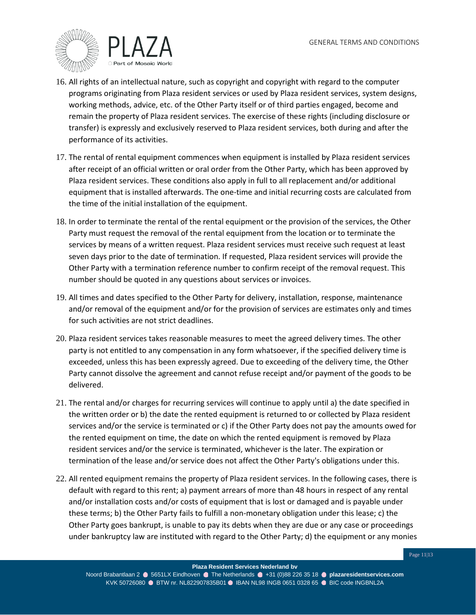

- 16. All rights of an intellectual nature, such as copyright and copyright with regard to the computer programs originating from Plaza resident services or used by Plaza resident services, system designs, working methods, advice, etc. of the Other Party itself or of third parties engaged, become and remain the property of Plaza resident services. The exercise of these rights (including disclosure or transfer) is expressly and exclusively reserved to Plaza resident services, both during and after the performance of its activities.
- 17. The rental of rental equipment commences when equipment is installed by Plaza resident services after receipt of an official written or oral order from the Other Party, which has been approved by Plaza resident services. These conditions also apply in full to all replacement and/or additional equipment that is installed afterwards. The one-time and initial recurring costs are calculated from the time of the initial installation of the equipment.
- 18. In order to terminate the rental of the rental equipment or the provision of the services, the Other Party must request the removal of the rental equipment from the location or to terminate the services by means of a written request. Plaza resident services must receive such request at least seven days prior to the date of termination. If requested, Plaza resident services will provide the Other Party with a termination reference number to confirm receipt of the removal request. This number should be quoted in any questions about services or invoices.
- 19. All times and dates specified to the Other Party for delivery, installation, response, maintenance and/or removal of the equipment and/or for the provision of services are estimates only and times for such activities are not strict deadlines.
- 20. Plaza resident services takes reasonable measures to meet the agreed delivery times. The other party is not entitled to any compensation in any form whatsoever, if the specified delivery time is exceeded, unless this has been expressly agreed. Due to exceeding of the delivery time, the Other Party cannot dissolve the agreement and cannot refuse receipt and/or payment of the goods to be delivered.
- 21. The rental and/or charges for recurring services will continue to apply until a) the date specified in the written order or b) the date the rented equipment is returned to or collected by Plaza resident services and/or the service is terminated or c) if the Other Party does not pay the amounts owed for the rented equipment on time, the date on which the rented equipment is removed by Plaza resident services and/or the service is terminated, whichever is the later. The expiration or termination of the lease and/or service does not affect the Other Party's obligations under this.
- 22. All rented equipment remains the property of Plaza resident services. In the following cases, there is default with regard to this rent; a) payment arrears of more than 48 hours in respect of any rental and/or installation costs and/or costs of equipment that is lost or damaged and is payable under these terms; b) the Other Party fails to fulfill a non-monetary obligation under this lease; c) the Other Party goes bankrupt, is unable to pay its debts when they are due or any case or proceedings under bankruptcy law are instituted with regard to the Other Party; d) the equipment or any monies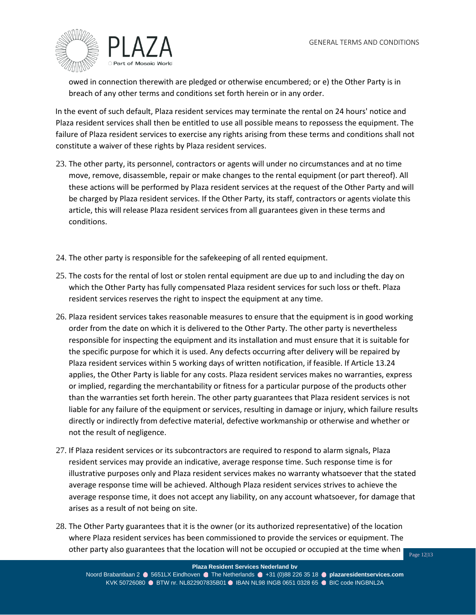

owed in connection therewith are pledged or otherwise encumbered; or e) the Other Party is in breach of any other terms and conditions set forth herein or in any order.

In the event of such default, Plaza resident services may terminate the rental on 24 hours' notice and Plaza resident services shall then be entitled to use all possible means to repossess the equipment. The failure of Plaza resident services to exercise any rights arising from these terms and conditions shall not constitute a waiver of these rights by Plaza resident services.

- 23. The other party, its personnel, contractors or agents will under no circumstances and at no time move, remove, disassemble, repair or make changes to the rental equipment (or part thereof). All these actions will be performed by Plaza resident services at the request of the Other Party and will be charged by Plaza resident services. If the Other Party, its staff, contractors or agents violate this article, this will release Plaza resident services from all guarantees given in these terms and conditions.
- 24. The other party is responsible for the safekeeping of all rented equipment.
- 25. The costs for the rental of lost or stolen rental equipment are due up to and including the day on which the Other Party has fully compensated Plaza resident services for such loss or theft. Plaza resident services reserves the right to inspect the equipment at any time.
- 26. Plaza resident services takes reasonable measures to ensure that the equipment is in good working order from the date on which it is delivered to the Other Party. The other party is nevertheless responsible for inspecting the equipment and its installation and must ensure that it is suitable for the specific purpose for which it is used. Any defects occurring after delivery will be repaired by Plaza resident services within 5 working days of written notification, if feasible. If Article 13.24 applies, the Other Party is liable for any costs. Plaza resident services makes no warranties, express or implied, regarding the merchantability or fitness for a particular purpose of the products other than the warranties set forth herein. The other party guarantees that Plaza resident services is not liable for any failure of the equipment or services, resulting in damage or injury, which failure results directly or indirectly from defective material, defective workmanship or otherwise and whether or not the result of negligence.
- 27. If Plaza resident services or its subcontractors are required to respond to alarm signals, Plaza resident services may provide an indicative, average response time. Such response time is for illustrative purposes only and Plaza resident services makes no warranty whatsoever that the stated average response time will be achieved. Although Plaza resident services strives to achieve the average response time, it does not accept any liability, on any account whatsoever, for damage that arises as a result of not being on site.
- 28. The Other Party guarantees that it is the owner (or its authorized representative) of the location where Plaza resident services has been commissioned to provide the services or equipment. The other party also guarantees that the location will not be occupied or occupied at the time when